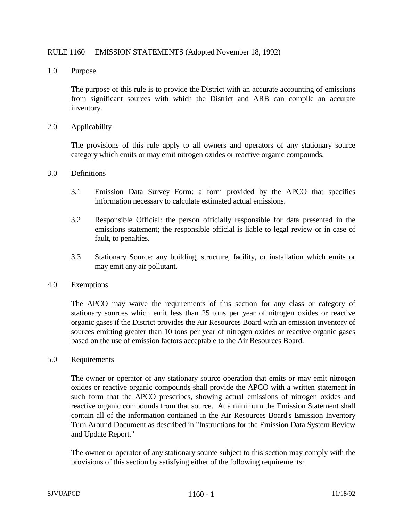## RULE 1160 EMISSION STATEMENTS (Adopted November 18, 1992)

1.0 Purpose

The purpose of this rule is to provide the District with an accurate accounting of emissions from significant sources with which the District and ARB can compile an accurate inventory.

2.0 Applicability

The provisions of this rule apply to all owners and operators of any stationary source category which emits or may emit nitrogen oxides or reactive organic compounds.

## 3.0 Definitions

- 3.1 Emission Data Survey Form: a form provided by the APCO that specifies information necessary to calculate estimated actual emissions.
- 3.2 Responsible Official: the person officially responsible for data presented in the emissions statement; the responsible official is liable to legal review or in case of fault, to penalties.
- 3.3 Stationary Source: any building, structure, facility, or installation which emits or may emit any air pollutant.

## 4.0 Exemptions

The APCO may waive the requirements of this section for any class or category of stationary sources which emit less than 25 tons per year of nitrogen oxides or reactive organic gases if the District provides the Air Resources Board with an emission inventory of sources emitting greater than 10 tons per year of nitrogen oxides or reactive organic gases based on the use of emission factors acceptable to the Air Resources Board.

5.0 Requirements

The owner or operator of any stationary source operation that emits or may emit nitrogen oxides or reactive organic compounds shall provide the APCO with a written statement in such form that the APCO prescribes, showing actual emissions of nitrogen oxides and reactive organic compounds from that source. At a minimum the Emission Statement shall contain all of the information contained in the Air Resources Board's Emission Inventory Turn Around Document as described in "Instructions for the Emission Data System Review and Update Report."

The owner or operator of any stationary source subject to this section may comply with the provisions of this section by satisfying either of the following requirements: